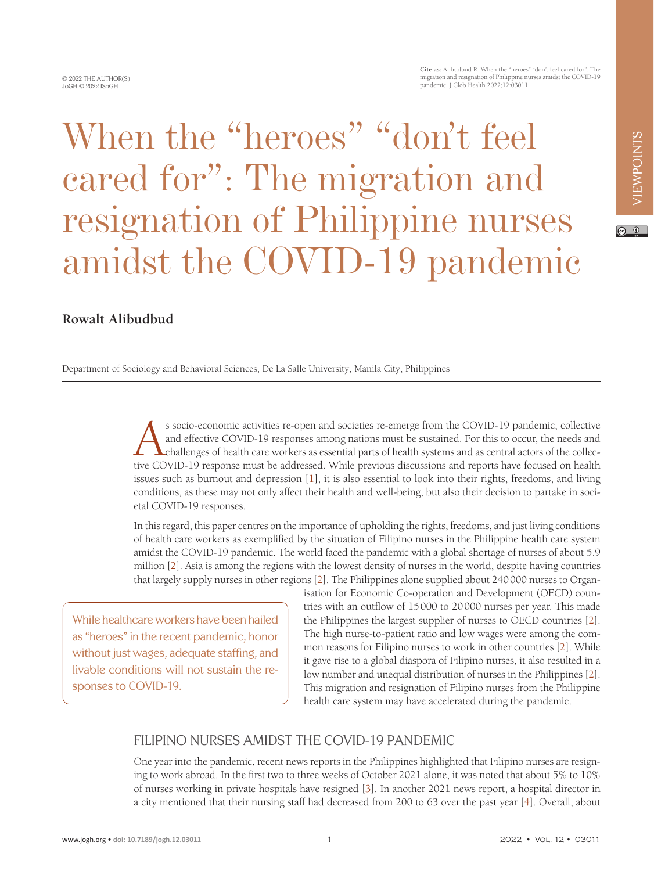www.jogh.org • **doi: 10.7189/jogh.12.03011** 1 2022 • Vol. 12 • 03011

When the "heroes" "don't feel cared for": The migration and resignation of Philippine nurses amidst the COVID-19 pandemic

#### **Rowalt Alibudbud**

Department of Sociology and Behavioral Sciences, De La Salle University, Manila City, Philippines

s socio-economic activities re-open and societies re-emerge from the COVID-19 pandemic, collective<br>and effective COVID-19 responses among nations must be sustained. For this to occur, the needs and<br>challenges of health car and effective COVID-19 responses among nations must be sustained. For this to occur, the needs and challenges of health care workers as essential parts of health systems and as central actors of the collective COVID-19 response must be addressed. While previous discussions and reports have focused on health issues such as burnout and depression [\[1](#page-2-0)], it is also essential to look into their rights, freedoms, and living conditions, as these may not only affect their health and well-being, but also their decision to partake in societal COVID-19 responses.

In this regard, this paper centres on the importance of upholding the rights, freedoms, and just living conditions of health care workers as exemplified by the situation of Filipino nurses in the Philippine health care system amidst the COVID-19 pandemic. The world faced the pandemic with a global shortage of nurses of about 5.9 million [\[2\]](#page-2-1). Asia is among the regions with the lowest density of nurses in the world, despite having countries that largely supply nurses in other regions [[2](#page-2-1)]. The Philippines alone supplied about 240000 nurses to Organ-

While healthcare workers have been hailed as "heroes" in the recent pandemic, honor without just wages, adequate staffing, and livable conditions will not sustain the responses to COVID-19.

isation for Economic Co-operation and Development (OECD) countries with an outflow of 15000 to 20000 nurses per year. This made the Philippines the largest supplier of nurses to OECD countries [\[2](#page-2-1)]. The high nurse-to-patient ratio and low wages were among the common reasons for Filipino nurses to work in other countries [\[2](#page-2-1)]. While it gave rise to a global diaspora of Filipino nurses, it also resulted in a low number and unequal distribution of nurses in the Philippines [\[2](#page-2-1)]. This migration and resignation of Filipino nurses from the Philippine health care system may have accelerated during the pandemic.

# FILIPINO NURSES AMIDST THE COVID-19 PANDEMIC

One year into the pandemic, recent news reports in the Philippines highlighted that Filipino nurses are resigning to work abroad. In the first two to three weeks of October 2021 alone, it was noted that about 5% to 10% of nurses working in private hospitals have resigned [[3\]](#page-2-2). In another 2021 news report, a hospital director in a city mentioned that their nursing staff had decreased from 200 to 63 over the past year [\[4\]](#page-2-3). Overall, about

**Cite as:** Alibudbud R: When the "heroes" "don't feel cared for": The migration and resignation of Philippine nurses amidst the COVID-19 pandemic. J Glob Health 2022;12:03011.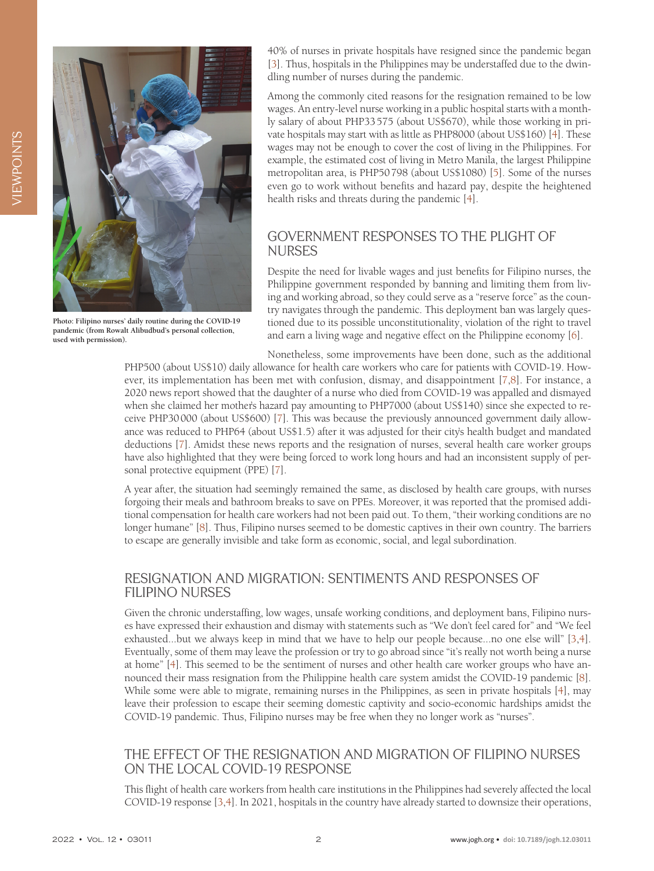

**Photo: Filipino nurses' daily routine during the COVID-19 pandemic (from Rowalt Alibudbud's personal collection, used with permission).**

40% of nurses in private hospitals have resigned since the pandemic began [\[3](#page-2-2)]. Thus, hospitals in the Philippines may be understaffed due to the dwindling number of nurses during the pandemic.

Among the commonly cited reasons for the resignation remained to be low wages. An entry-level nurse working in a public hospital starts with a monthly salary of about PHP33575 (about US\$670), while those working in private hospitals may start with as little as PHP8000 (about US\$160) [[4\]](#page-2-3). These wages may not be enough to cover the cost of living in the Philippines. For example, the estimated cost of living in Metro Manila, the largest Philippine metropolitan area, is PHP50798 (about US\$1080) [\[5](#page-2-4)]. Some of the nurses even go to work without benefits and hazard pay, despite the heightened health risks and threats during the pandemic [\[4](#page-2-3)].

### GOVERNMENT RESPONSES TO THE PLIGHT OF NURSES

Despite the need for livable wages and just benefits for Filipino nurses, the Philippine government responded by banning and limiting them from living and working abroad, so they could serve as a "reserve force" as the country navigates through the pandemic. This deployment ban was largely questioned due to its possible unconstitutionality, violation of the right to travel and earn a living wage and negative effect on the Philippine economy [\[6\]](#page-2-5).

Nonetheless, some improvements have been done, such as the additional PHP500 (about US\$10) daily allowance for health care workers who care for patients with COVID-19. However, its implementation has been met with confusion, dismay, and disappointment [\[7](#page-2-6)[,8](#page-2-7)]. For instance, a 2020 news report showed that the daughter of a nurse who died from COVID-19 was appalled and dismayed when she claimed her mother's hazard pay amounting to PHP7000 (about US\$140) since she expected to receive PHP30000 (about US\$600) [\[7](#page-2-6)]. This was because the previously announced government daily allowance was reduced to PHP64 (about US\$1.5) after it was adjusted for their city's health budget and mandated deductions [[7\]](#page-2-6). Amidst these news reports and the resignation of nurses, several health care worker groups have also highlighted that they were being forced to work long hours and had an inconsistent supply of personal protective equipment (PPE) [\[7](#page-2-6)].

A year after, the situation had seemingly remained the same, as disclosed by health care groups, with nurses forgoing their meals and bathroom breaks to save on PPEs. Moreover, it was reported that the promised additional compensation for health care workers had not been paid out. To them, "their working conditions are no longer humane" [[8\]](#page-2-7). Thus, Filipino nurses seemed to be domestic captives in their own country. The barriers to escape are generally invisible and take form as economic, social, and legal subordination.

#### RESIGNATION AND MIGRATION: SENTIMENTS AND RESPONSES OF FILIPINO NURSES

Given the chronic understaffing, low wages, unsafe working conditions, and deployment bans, Filipino nurses have expressed their exhaustion and dismay with statements such as "We don't feel cared for" and "We feel exhausted...but we always keep in mind that we have to help our people because...no one else will" [\[3](#page-2-2),[4\]](#page-2-3). Eventually, some of them may leave the profession or try to go abroad since "it's really not worth being a nurse at home" [[4\]](#page-2-3). This seemed to be the sentiment of nurses and other health care worker groups who have announced their mass resignation from the Philippine health care system amidst the COVID-19 pandemic [[8\]](#page-2-7). While some were able to migrate, remaining nurses in the Philippines, as seen in private hospitals [\[4](#page-2-3)], may leave their profession to escape their seeming domestic captivity and socio-economic hardships amidst the COVID-19 pandemic. Thus, Filipino nurses may be free when they no longer work as "nurses".

#### THE EFFECT OF THE RESIGNATION AND MIGRATION OF FILIPINO NURSES ON THE LOCAL COVID-19 RESPONSE

This flight of health care workers from health care institutions in the Philippines had severely affected the local COVID-19 response [\[3](#page-2-2),[4\]](#page-2-3). In 2021, hospitals in the country have already started to downsize their operations,